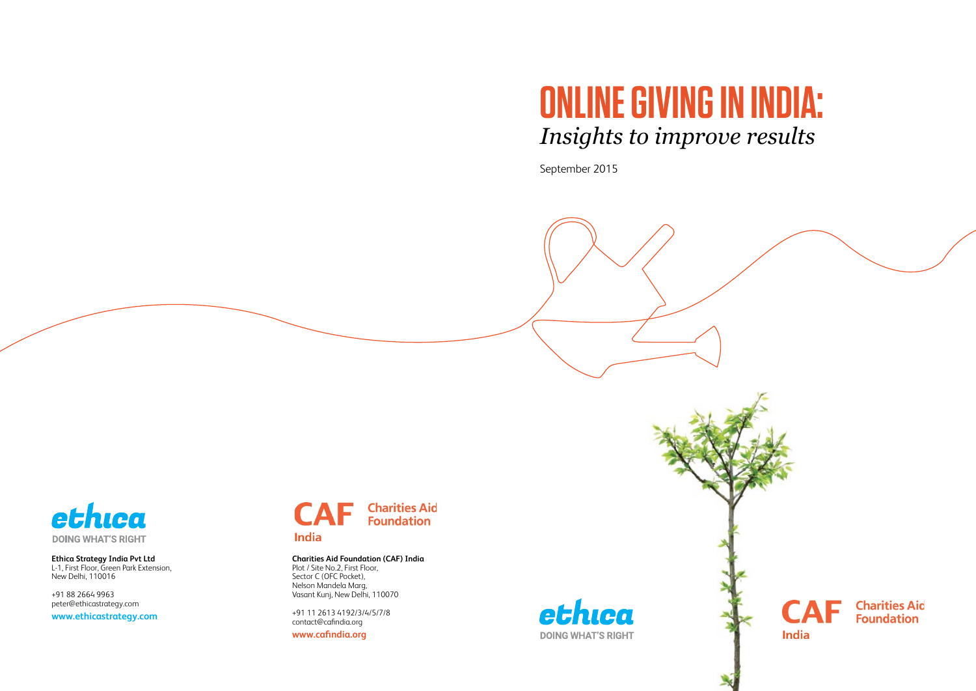# **ONLINE GIVING IN INDIA:** *Insights to improve results*

September 2015



**Ethica Strategy India Pvt Ltd** L-1, First Floor, Green Park Extension, New Delhi, 110016

+91 88 2664 9963 peter@ethicastrategy.com

**www.ethicastrategy.com**



**India** 

### **Charities Aid Foundation (CAF) India**

Plot / Site No.2, First Floor, Sector C (OFC Pocket), Nelson Mandela Marg, Vasant Kunj, New Delhi, 110070

+91 11 2613 4192/3/4/5/7/8 contact@cafindia.org

**www.cafindia.org**





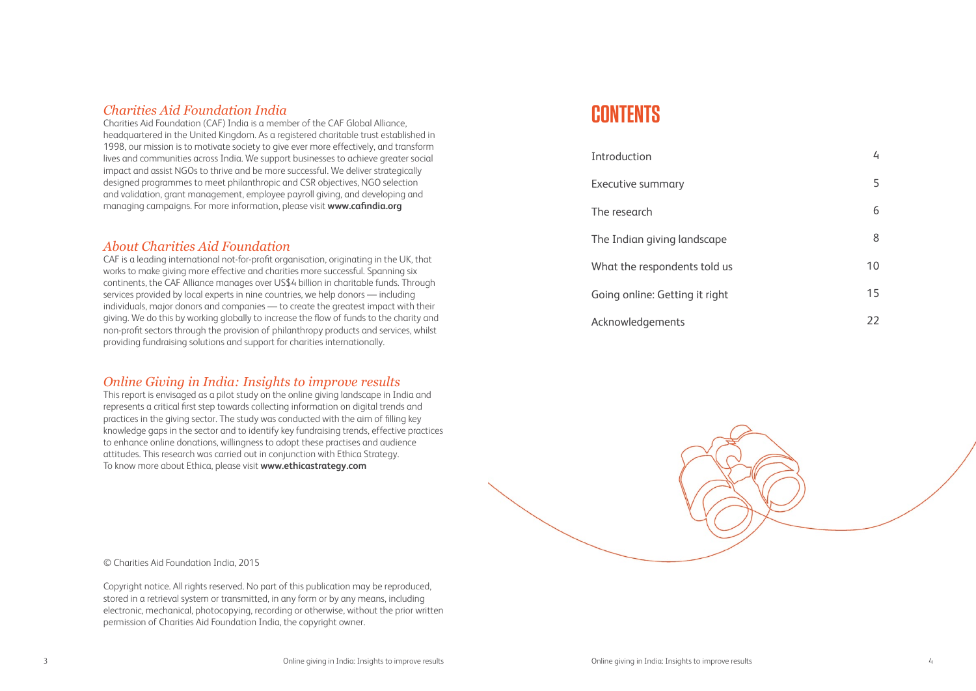## *Charities Aid Foundation India*

Charities Aid Foundation (CAF) India is a member of the CAF Global Alliance, headquartered in the United Kingdom. As a registered charitable trust established in 1998, our mission is to motivate society to give ever more effectively, and transform lives and communities across India. We support businesses to achieve greater social impact and assist NGOs to thrive and be more successful. We deliver strategically designed programmes to meet philanthropic and CSR objectives, NGO selection and validation, grant management, employee payroll giving, and developing and managing campaigns. For more information, please visit **www.cafindia.org**

## *About Charities Aid Foundation*

CAF is a leading international not-for-profit organisation, originating in the UK, that works to make giving more effective and charities more successful. Spanning six continents, the CAF Alliance manages over US\$4 billion in charitable funds. Through services provided by local experts in nine countries, we help donors — including individuals, major donors and companies — to create the greatest impact with their giving. We do this by working globally to increase the flow of funds to the charity and non-profit sectors through the provision of philanthropy products and services, whilst providing fundraising solutions and support for charities internationally.

## *Online Giving in India: Insights to improve results*

This report is envisaged as a pilot study on the online giving landscape in India and represents a critical first step towards collecting information on digital trends and practices in the giving sector. The study was conducted with the aim of filling key knowledge gaps in the sector and to identify key fundraising trends, effective practices to enhance online donations, willingness to adopt these practises and audience attitudes. This research was carried out in conjunction with Ethica Strategy. To know more about Ethica, please visit **www.ethicastrategy.com**

© Charities Aid Foundation India, 2015

Copyright notice. All rights reserved. No part of this publication may be reproduced, stored in a retrieval system or transmitted, in any form or by any means, including electronic, mechanical, photocopying, recording or otherwise, without the prior written permission of Charities Aid Foundation India, the copyright owner.

**CO N TENTS**

Introduction Executive summary The research The Indian giving landscape What the respondents told us Going online: Getting it right Acknowledgements



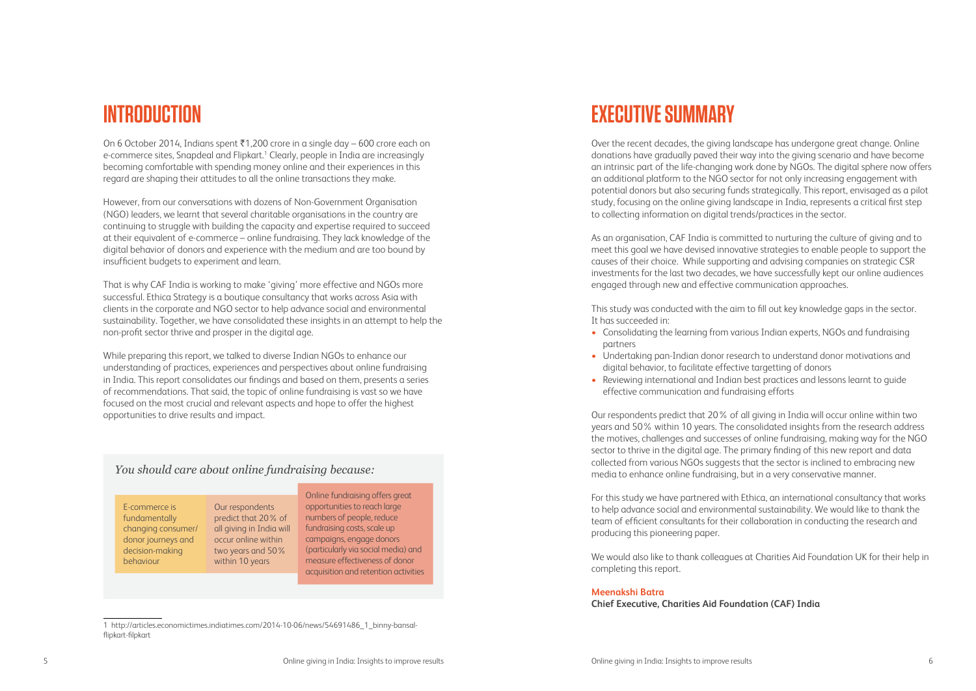## **EXECUTIVE SUMMARY**

Over the recent decades, the giving landscape has undergone great change. Online donations have gradually paved their way into the giving scenario and have become an intrinsic part of the life-changing work done by NGOs. The digital sphere now offers an additional platform to the NGO sector for not only increasing engagement with potential donors but also securing funds strategically. This report, envisaged as a pilot study, focusing on the online giving landscape in India, represents a critical first step to collecting information on digital trends/practices in the sector.

As an organisation, CAF India is committed to nurturing the culture of giving and to meet this goal we have devised innovative strategies to enable people to support the causes of their choice. While supporting and advising companies on strategic CSR investments for the last two decades, we have successfully kept our online audiences engaged through new and effective communication approaches.

This study was conducted with the aim to fill out key knowledge gaps in the sector. It has succeeded in:

• Consolidating the learning from various Indian experts, NGOs and fundraising

- partners
- Undertaking pan-Indian donor research to understand donor motivations and digital behavior, to facilitate effective targetting of donors
- Reviewing international and Indian best practices and lessons learnt to guide effective communication and fundraising efforts

On 6 October 2014, Indians spent  $\bar{x}$ 1,200 crore in a single day – 600 crore each on e-commerce sites, Snapdeal and Flipkart.<sup>1</sup> Clearly, people in India are increasingly becoming comfortable with spending money online and their experiences in this regard are shaping their attitudes to all the online transactions they make.

> Our respondents predict that 20% of all giving in India will occur online within two years and 50% within 10 years. The consolidated insights from the research address the motives, challenges and successes of online fundraising, making way for the NGO sector to thrive in the digital age. The primary finding of this new report and data collected from various NGOs suggests that the sector is inclined to embracing new media to enhance online fundraising, but in a very conservative manner.

> For this study we have partnered with Ethica, an international consultancy that works to help advance social and environmental sustainability. We would like to thank the team of efficient consultants for their collaboration in conducting the research and producing this pioneering paper.

We would also like to thank colleagues at Charities Aid Foundation UK for their help in completing this report.

### **Meenakshi Batra Chief Executive, Charities Aid Foundation (CAF) India**

## **INTRODUCTION**

However, from our conversations with dozens of Non-Government Organisation (NGO) leaders, we learnt that several charitable organisations in the country are continuing to struggle with building the capacity and expertise required to succeed at their equivalent of e-commerce – online fundraising. They lack knowledge of the digital behavior of donors and experience with the medium and are too bound by insufficient budgets to experiment and learn.

That is why CAF India is working to make 'giving' more effective and NGOs more successful. Ethica Strategy is a boutique consultancy that works across Asia with clients in the corporate and NGO sector to help advance social and environmental sustainability. Together, we have consolidated these insights in an attempt to help the non-profit sector thrive and prosper in the digital age.

While preparing this report, we talked to diverse Indian NGOs to enhance our understanding of practices, experiences and perspectives about online fundraising in India. This report consolidates our findings and based on them, presents a series of recommendations. That said, the topic of online fundraising is vast so we have focused on the most crucial and relevant aspects and hope to offer the highest opportunities to drive results and impact.

### *You should care about online fundraising because:*

E-commerce is fundamentally changing consumer/ donor journeys and decision-making behaviour

Our respondents predict that 20% of all giving in India will occur online within two years and 50% within 10 years

Online fundraising offers great opportunities to reach large numbers of people, reduce fundraising costs, scale up campaigns, engage donors (particularly via social media) and measure effectiveness of donor acquisition and retention activities

<sup>1</sup> http://articles.economictimes.indiatimes.com/2014-10-06/news/54691486\_1\_binny-bansalflipkart-filpkart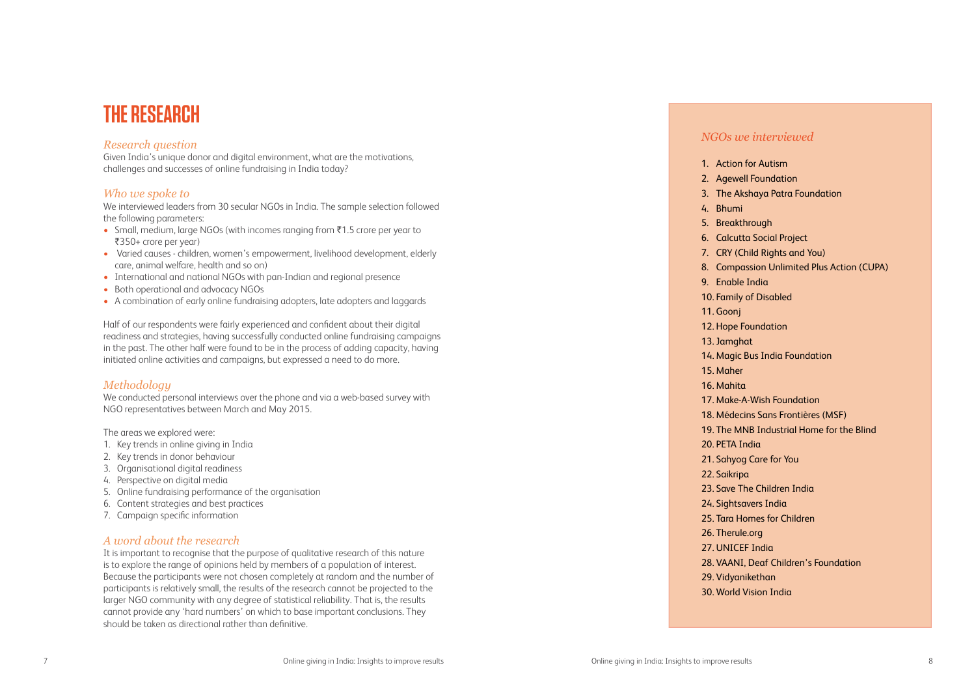# **TH E R E SEARCH**

### *Research question*

Given India's unique donor and digital environment, what are the motivations, challenges and successes of online fundraising in India today?

### *Who we spoke to*

We interviewed leaders from 30 secular NGOs in India. The sample selection followed the following parameters:

- Small, medium, large NGOs (with incomes ranging from ₹1.5 crore per year to `350+ crore per year)
- Varied causes children, women's empowerment, livelihood development, elderly care, animal welfare, health and so on)
- International and national NGOs with pan-Indian and regional presence
- Both operational and advocacy NGOs
- A combination of early online fundraising adopters, late adopters and laggards

Half of our respondents were fairly experienced and confident about their digital readiness and strategies, having successfully conducted online fundraising campaigns in the past. The other half were found to be in the process of adding capacity, having initiated online activities and campaigns, but expressed a need to do more.

### *Methodology*

We conducted personal interviews over the phone and via a web-based survey with NGO representatives between March and May 2015.

The areas we explored were:

- 1. Key trends in online giving in India
- 2. Key trends in donor behaviour
- 3. Organisational digital readiness
- 4. Perspective on digital media
- 5. Online fundraising performance of the organisation
- 6. Content strategies and best practices
- 7. Campaign specific information

### *A word about the research*

It is important to recognise that the purpose of qualitative research of this nature is to explore the range of opinions held by members of a population of interest. Because the participants were not chosen completely at random and the number of participants is relatively small, the results of the research cannot be projected to the larger NGO community with any degree of statistical reliability. That is, the results cannot provide any 'hard numbers' on which to base important conclusions. They should be taken as directional rather than definitive.

### *NGOs we interviewed*

- 
- 
- 4. Bhumi
- 
- 
- 
- 
- 
- 
- 11. Goonj
- 
- 
- 15. Maher
- 16. Mahita
- 
- 
- 
- 
- 
- 
- 22. Saikripa
- 
- 
- 
- 26. Therule.org
- 27. UNICEF India
- 
- 

1. Action for Autism 2. Agewell Foundation 3. The Akshaya Patra Foundation 5. Breakthrough 6. Calcutta Social Project 7. CRY (Child Rights and You) 8. Compassion Unlimited Plus Action (CUPA) 9. Enable India 10. Family of Disabled 12. Hope Foundation 13. Jamghat 14. Magic Bus India Foundation 17. Make-A-Wish Foundation 18. Médecins Sans Frontières (MSF) 19. The MNB Industrial Home for the Blind 20. PETA India 21. Sahyog Care for You 23. Save The Children India 24. Sightsavers India 25. Tara Homes for Children 28. VAANI, Deaf Children's Foundation 29. Vidyanikethan 30. World Vision India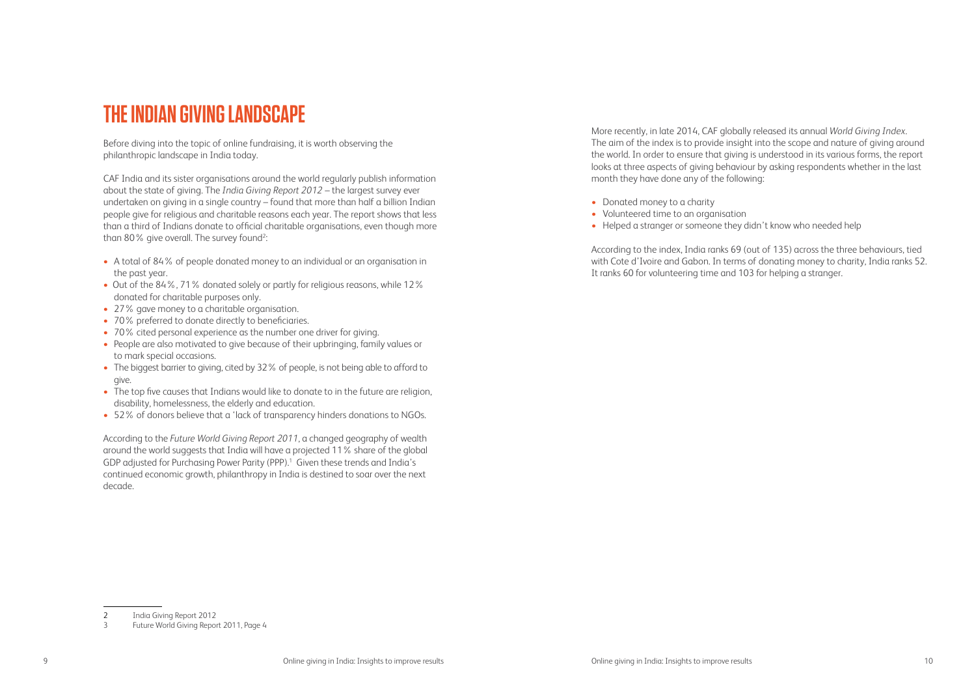# **THEINDIAN GIVING LANDSCAPE**

CAF India and its sister organisations around the world regularly publish information about the state of giving. The *India Giving Report 2012* – the largest survey ever undertaken on giving in a single country – found that more than half a billion Indian people give for religious and charitable reasons each year. The report shows that less than a third of Indians donate to official charitable organisations, even though more than 80% give overall. The survey found<sup>2</sup>:

Before diving into the topic of online fundraising, it is worth observing the philanthropic landscape in India today.

- A total of 84% of people donated money to an individual or an organisation in the past year.
- Out of the 84%, 71% donated solely or partly for religious reasons, while 12% donated for charitable purposes only.
- 27% gave money to a charitable organisation.
- 70% preferred to donate directly to beneficiaries.
- 70% cited personal experience as the number one driver for giving.
- People are also motivated to give because of their upbringing, family values or to mark special occasions.
- The biggest barrier to giving, cited by 32% of people, is not being able to afford to give.
- The top five causes that Indians would like to donate to in the future are religion, disability, homelessness, the elderly and education.
- 52% of donors believe that a 'lack of transparency hinders donations to NGOs.

According to the *Future World Giving Report 2011*, a changed geography of wealth around the world suggests that India will have a projected 11% share of the global GDP adjusted for Purchasing Power Parity (PPP).<sup>1</sup> Given these trends and India's continued economic growth, philanthropy in India is destined to soar over the next decade.

More recently, in late 2014, CAF globally released its annual *World Giving Index*. The aim of the index is to provide insight into the scope and nature of giving around the world. In order to ensure that giving is understood in its various forms, the report looks at three aspects of giving behaviour by asking respondents whether in the last month they have done any of the following:

- Donated money to a charity
- Volunteered time to an organisation
- Helped a stranger or someone they didn't know who needed help

According to the index, India ranks 69 (out of 135) across the three behaviours, tied with Cote d'Ivoire and Gabon. In terms of donating money to charity, India ranks 52. It ranks 60 for volunteering time and 103 for helping a stranger.

<sup>2</sup> India Giving Report 2012

<sup>3</sup> Future World Giving Report 2011, Page 4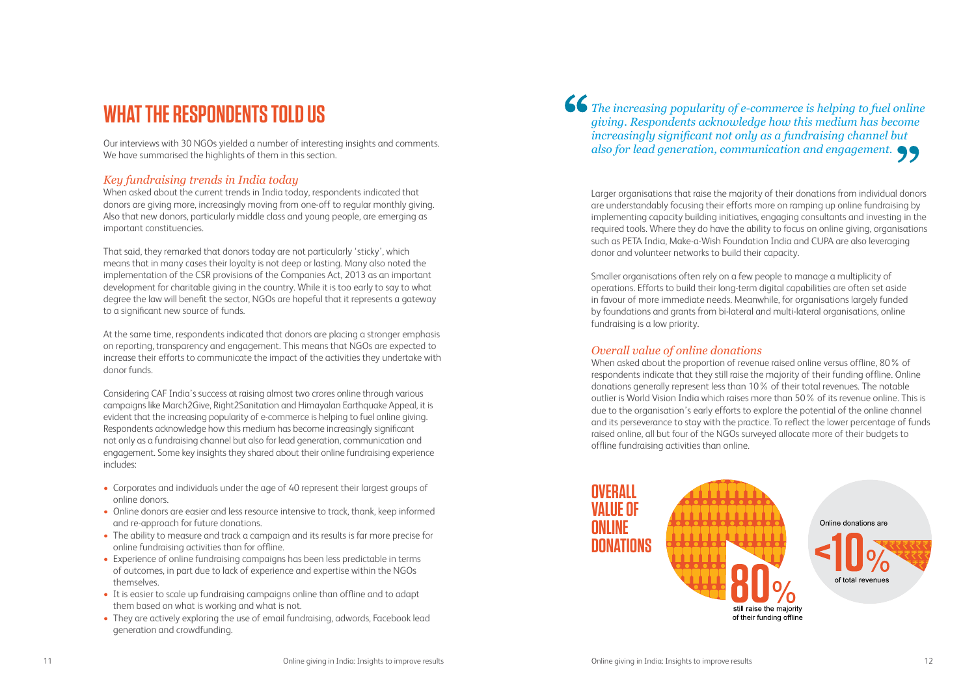# **WH AT TH E R ESPONDENTS TOLD US**

Our interviews with 30 NGOs yielded a number of interesting insights and comments. We have summarised the highlights of them in this section.

## *Key fundraising trends in India today*

When asked about the current trends in India today, respondents indicated that donors are giving more, increasingly moving from one-off to regular monthly giving. Also that new donors, particularly middle class and young people, are emerging as important constituencies.

That said, they remarked that donors today are not particularly 'sticky', which means that in many cases their loyalty is not deep or lasting. Many also noted the implementation of the CSR provisions of the Companies Act, 2013 as an important development for charitable giving in the country. While it is too early to say to what degree the law will benefit the sector, NGOs are hopeful that it represents a gateway to a significant new source of funds.

At the same time, respondents indicated that donors are placing a stronger emphasis on reporting, transparency and engagement. This means that NGOs are expected to increase their efforts to communicate the impact of the activities they undertake with donor funds.

Considering CAF India's success at raising almost two crores online through various campaigns like March2Give, Right2Sanitation and Himayalan Earthquake Appeal, it is evident that the increasing popularity of e-commerce is helping to fuel online giving. Respondents acknowledge how this medium has become increasingly significant not only as a fundraising channel but also for lead generation, communication and engagement. Some key insights they shared about their online fundraising experience includes:

- Corporates and individuals under the age of 40 represent their largest groups of online donors.
- Online donors are easier and less resource intensive to track, thank, keep informed and re-approach for future donations.
- The ability to measure and track a campaign and its results is far more precise for online fundraising activities than for offline.
- Experience of online fundraising campaigns has been less predictable in terms of outcomes, in part due to lack of experience and expertise within the NGOs themselves.
- It is easier to scale up fundraising campaigns online than offline and to adapt them based on what is working and what is not.
- They are actively exploring the use of email fundraising, adwords, Facebook lead generation and crowdfunding.

Larger organisations that raise the majority of their donations from individual donors are understandably focusing their efforts more on ramping up online fundraising by implementing capacity building initiatives, engaging consultants and investing in the required tools. Where they do have the ability to focus on online giving, organisations such as PETA India, Make-a-Wish Foundation India and CUPA are also leveraging donor and volunteer networks to build their capacity.

Smaller organisations often rely on a few people to manage a multiplicity of operations. Efforts to build their long-term digital capabilities are often set aside in favour of more immediate needs. Meanwhile, for organisations largely funded by foundations and grants from bi-lateral and multi-lateral organisations, online fundraising is a low priority.

### *Overall value of online donations*

When asked about the proportion of revenue raised online versus offline, 80% of respondents indicate that they still raise the majority of their funding offline. Online donations generally represent less than 10% of their total revenues. The notable outlier is World Vision India which raises more than 50% of its revenue online. This is due to the organisation's early efforts to explore the potential of the online channel and its perseverance to stay with the practice. To reflect the lower percentage of funds raised online, all but four of the NGOs surveyed allocate more of their budgets to offline fundraising activities than online.

*The increasing popularity of e-commerce is helping to fuel online* 

## *giving. Respondents acknowledge how this medium has become increasingly significant not only as a fundraising channel but also for lead generation, communication and engagement.*



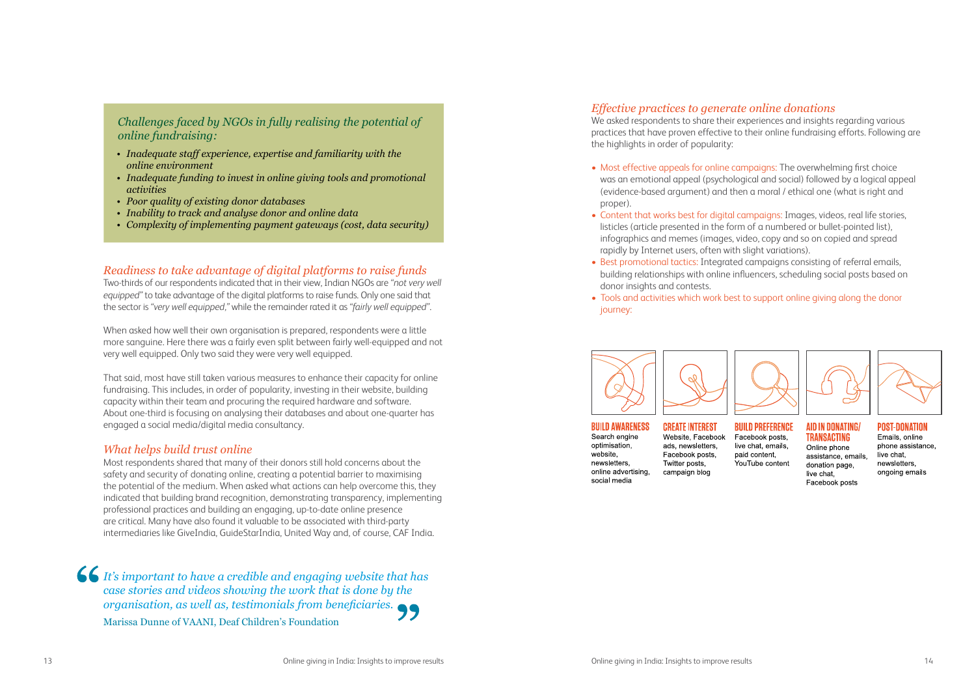### *Challenges faced by NGOs in fully realising the potential of online fundraising:*

- *• Inadequate staff experience, expertise and familiarity with the online environment*
- *• Inadequate funding to invest in online giving tools and promotional activities*
- *• Poor quality of existing donor databases*
- *• Inability to track and analyse donor and online data*
- *• Complexity of implementing payment gateways (cost, data security)*

### *Readiness to take advantage of digital platforms to raise funds*

Two-thirds of our respondents indicated that in their view, Indian NGOs are *"not very well equipped"* to take advantage of the digital platforms to raise funds. Only one said that the sector is *"very well equipped,"* while the remainder rated it as *"fairly well equipped"*.

When asked how well their own organisation is prepared, respondents were a little more sanguine. Here there was a fairly even split between fairly well-equipped and not very well equipped. Only two said they were very well equipped.

That said, most have still taken various measures to enhance their capacity for online fundraising. This includes, in order of popularity, investing in their website, building capacity within their team and procuring the required hardware and software. About one-third is focusing on analysing their databases and about one-quarter has engaged a social media/digital media consultancy.

### *What helps build trust online*

Most respondents shared that many of their donors still hold concerns about the safety and security of donating online, creating a potential barrier to maximising the potential of the medium. When asked what actions can help overcome this, they indicated that building brand recognition, demonstrating transparency, implementing professional practices and building an engaging, up-to-date online presence are critical. Many have also found it valuable to be associated with third-party intermediaries like GiveIndia, GuideStarIndia, United Way and, of course, CAF India.

*It's important to have a credible and engaging website that has case stories and videos showing the work that is done by the organisation, as well as, testimonials from beneficiaries.*  Marissa Dunne of VAANI, Deaf Children's Foundation

### *Effective practices to generate online donations*

We asked respondents to share their experiences and insights regarding various practices that have proven effective to their online fundraising efforts. Following are the highlights in order of popularity:

• Most effective appeals for online campaigns: The overwhelming first choice was an emotional appeal (psychological and social) followed by a logical appeal (evidence-based argument) and then a moral / ethical one (what is right and

• Content that works best for digital campaigns: Images, videos, real life stories, listicles (article presented in the form of a numbered or bullet-pointed list), infographics and memes (images, video, copy and so on copied and spread

- proper).
- rapidly by Internet users, often with slight variations).
- donor insights and contests.
- journey:



### **BUILD AWARENESS**

Search engine optimisation. website. newsletters, online advertising, social media

**CREATE INTEREST** Website, Facebook ads. newsletters. Facebook posts. Twitter posts. campaign blog

• Best promotional tactics: Integrated campaigns consisting of referral emails, building relationships with online influencers, scheduling social posts based on

### • Tools and activities which work best to support online giving along the donor



**BUILD PREFERENCE** Facebook posts. live chat, emails. paid content. YouTube content



### **AID IN DONATING TRANSACTING**

Online phone assistance, emails. donation page. live chat Facebook posts



**POST-DONATION** Emails, online phone assistance. live chat. newsletters. ongoing emails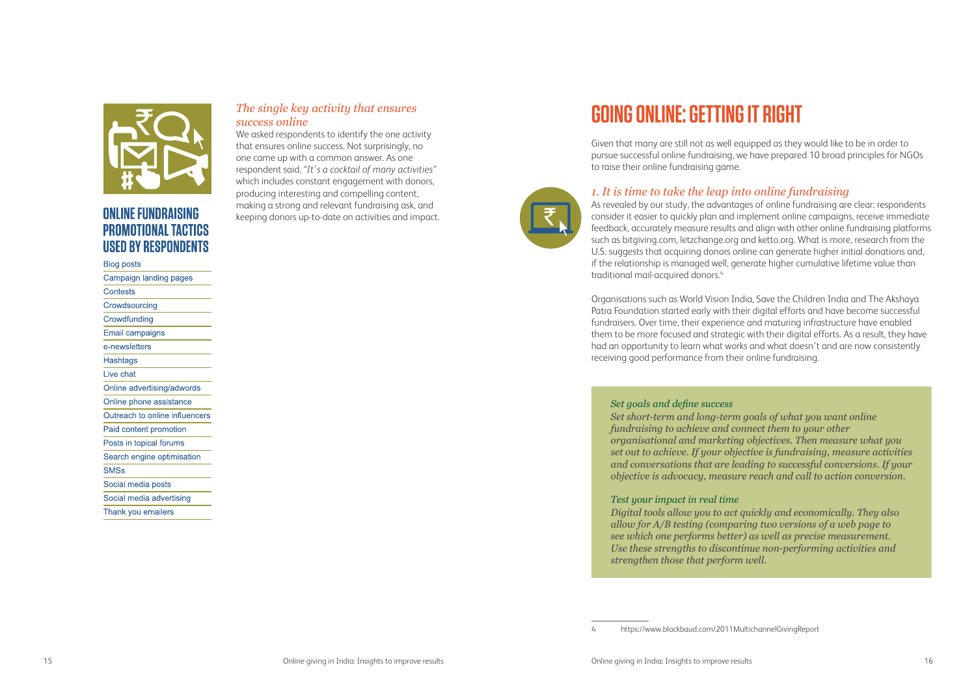

## **ONLINE FUNDRAISING PROMOTIONAL TACTICS USED BY RESPONDENTS**

### **Blog posts**

| Campaign landing pages         |
|--------------------------------|
| Contests                       |
| Crowdsourcing                  |
| Crowdfunding                   |
| Email campaigns                |
| e-newsletters                  |
| Hashtags                       |
| Live chat                      |
| Online advertising/adwords     |
| Online phone assistance        |
| Outreach to online influencers |
| Paid content promotion         |
| Posts in topical forums        |
| Search engine optimisation     |
| <b>SMSs</b>                    |
| Social media posts             |
| Social media advertising       |
| Thank you emailers             |

### *The single key activity that ensures success online*

We asked respondents to identify the one activity that ensures online success. Not surprisingly, no one came up with a common answer. As one respondent said, *"It's a cocktail of many activities"* which includes constant engagement with donors, producing interesting and compelling content, making a strong and relevant fundraising ask, and keeping donors up-to-date on activities and impact.

As revealed by our study, the advantages of online fundraising are clear: respondents consider it easier to quickly plan and implement online campaigns, receive immediate feedback, accurately measure results and align with other online fundraising platforms such as bitgiving.com, letzchange.org and ketto.org. What is more, research from the U.S. suggests that acquiring donors online can generate higher initial donations and, if the relationship is managed well, generate higher cumulative lifetime value than traditional mail-acquired donors.<sup>4</sup>

# **GOING ONLINE: GETTING IT RIGHT**

Given that many are still not as well equipped as they would like to be in order to pursue successful online fundraising, we have prepared 10 broad principles for NGOs to raise their online fundraising game.

### *1. It is time to take the leap into online fundraising*

Organisations such as World Vision India, Save the Children India and The Akshaya Patra Foundation started early with their digital efforts and have become successful fundraisers. Over time, their experience and maturing infrastructure have enabled them to be more focused and strategic with their digital efforts. As a result, they have had an opportunity to learn what works and what doesn't and are now consistently receiving good performance from their online fundraising.

# *Set goals and define success fundraising to achieve and connect them to your other*

*Set short-term and long-term goals of what you want online organisational and marketing objectives. Then measure what you set out to achieve. If your objective is fundraising, measure activities and conversations that are leading to successful conversions. If your objective is advocacy, measure reach and call to action conversion.* 

*Test your impact in real time Digital tools allow you to act quickly and economically. They also allow for A/B testing (comparing two versions of a web page to see which one performs better) as well as precise measurement. Use these strengths to discontinue non-performing activities and strengthen those that perform well.* 

<sup>4</sup> https://www.blackbaud.com/2011MultichannelGivingReport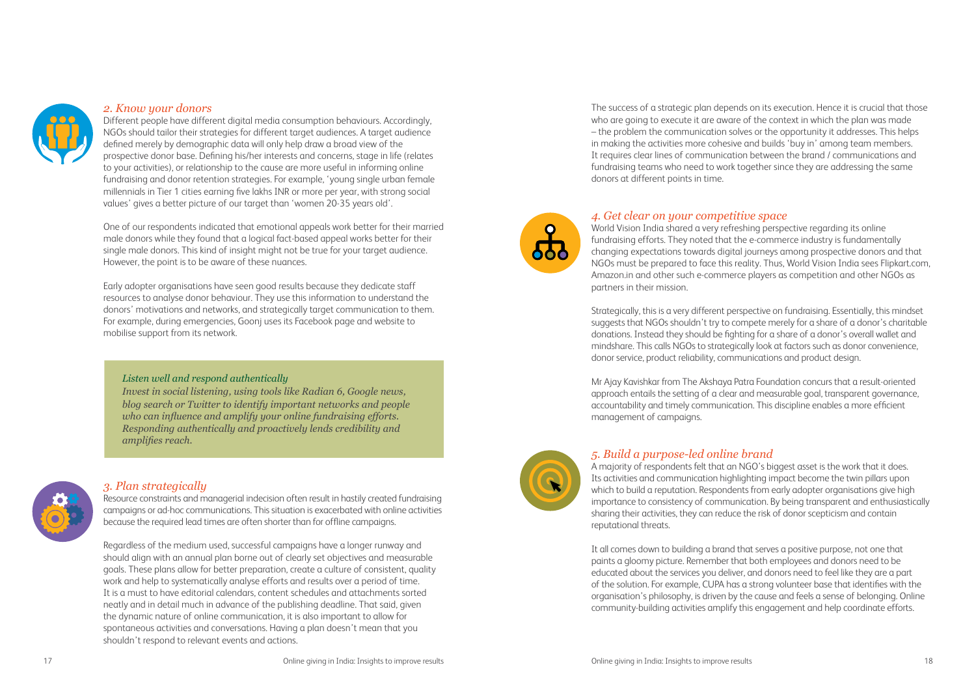

### *2. Know your donors*

Different people have different digital media consumption behaviours. Accordingly, NGOs should tailor their strategies for different target audiences. A target audience defined merely by demographic data will only help draw a broad view of the prospective donor base. Defining his/her interests and concerns, stage in life (relates to your activities), or relationship to the cause are more useful in informing online fundraising and donor retention strategies. For example, 'young single urban female millennials in Tier 1 cities earning five lakhs INR or more per year, with strong social values' gives a better picture of our target than 'women 20-35 years old'.

One of our respondents indicated that emotional appeals work better for their married male donors while they found that a logical fact-based appeal works better for their single male donors. This kind of insight might not be true for your target audience. However, the point is to be aware of these nuances.

Early adopter organisations have seen good results because they dedicate staff resources to analyse donor behaviour. They use this information to understand the donors' motivations and networks, and strategically target communication to them. For example, during emergencies, Goonj uses its Facebook page and website to mobilise support from its network.

### *3. Plan strategically*

Resource constraints and managerial indecision often result in hastily created fundraising campaigns or ad-hoc communications. This situation is exacerbated with online activities because the required lead times are often shorter than for offline campaigns.

Regardless of the medium used, successful campaigns have a longer runway and should align with an annual plan borne out of clearly set objectives and measurable goals. These plans allow for better preparation, create a culture of consistent, quality work and help to systematically analyse efforts and results over a period of time. It is a must to have editorial calendars, content schedules and attachments sorted neatly and in detail much in advance of the publishing deadline. That said, given the dynamic nature of online communication, it is also important to allow for spontaneous activities and conversations. Having a plan doesn't mean that you shouldn't respond to relevant events and actions.



### *Listen well and respond authentically*

*Invest in social listening, using tools like Radian 6, Google news, blog search or Twitter to identify important networks and people who can influence and amplify your online fundraising efforts. Responding authentically and proactively lends credibility and amplifies reach.* 



The success of a strategic plan depends on its execution. Hence it is crucial that those who are going to execute it are aware of the context in which the plan was made – the problem the communication solves or the opportunity it addresses. This helps in making the activities more cohesive and builds 'buy in' among team members. It requires clear lines of communication between the brand / communications and fundraising teams who need to work together since they are addressing the same donors at different points in time.

### *4. Get clear on your competitive space*

World Vision India shared a very refreshing perspective regarding its online fundraising efforts. They noted that the e-commerce industry is fundamentally changing expectations towards digital journeys among prospective donors and that NGOs must be prepared to face this reality. Thus, World Vision India sees Flipkart.com, Amazon.in and other such e-commerce players as competition and other NGOs as partners in their mission.

Strategically, this is a very different perspective on fundraising. Essentially, this mindset suggests that NGOs shouldn't try to compete merely for a share of a donor's charitable donations. Instead they should be fighting for a share of a donor's overall wallet and mindshare. This calls NGOs to strategically look at factors such as donor convenience, donor service, product reliability, communications and product design.

Mr Ajay Kavishkar from The Akshaya Patra Foundation concurs that a result-oriented approach entails the setting of a clear and measurable goal, transparent governance, accountability and timely communication. This discipline enables a more efficient management of campaigns.



### *5. Build a purpose-led online brand*

A majority of respondents felt that an NGO's biggest asset is the work that it does. Its activities and communication highlighting impact become the twin pillars upon which to build a reputation. Respondents from early adopter organisations give high importance to consistency of communication. By being transparent and enthusiastically sharing their activities, they can reduce the risk of donor scepticism and contain reputational threats.

It all comes down to building a brand that serves a positive purpose, not one that paints a gloomy picture. Remember that both employees and donors need to be educated about the services you deliver, and donors need to feel like they are a part of the solution. For example, CUPA has a strong volunteer base that identifies with the organisation's philosophy, is driven by the cause and feels a sense of belonging. Online community-building activities amplify this engagement and help coordinate efforts.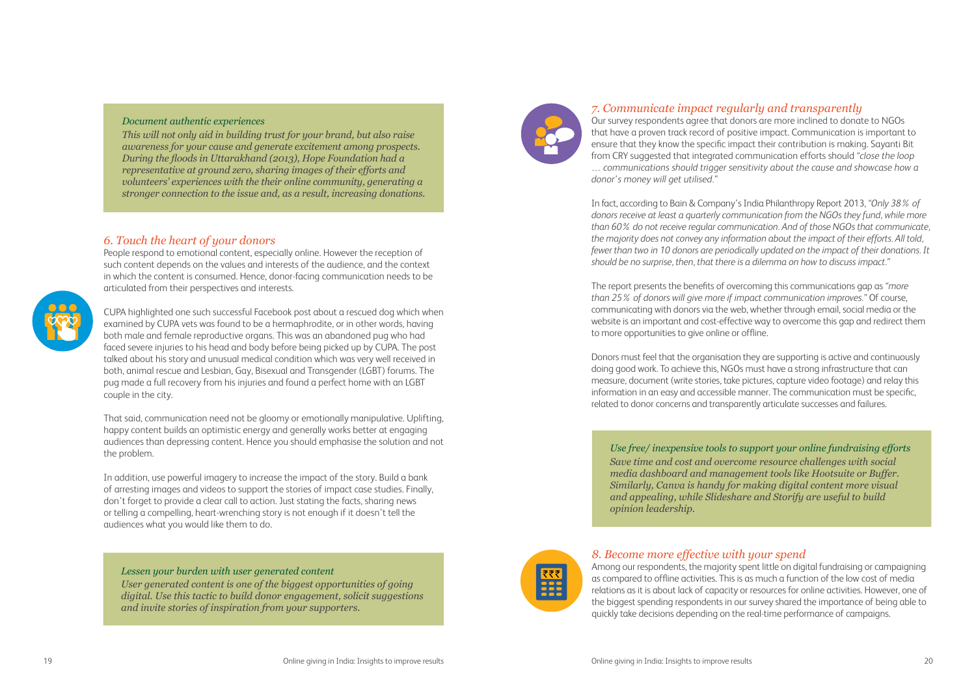### *Document authentic experiences*

*This will not only aid in building trust for your brand, but also raise awareness for your cause and generate excitement among prospects. During the floods in Uttarakhand (2013), Hope Foundation had a representative at ground zero, sharing images of their efforts and volunteers' experiences with the their online community, generating a stronger connection to the issue and, as a result, increasing donations.*

### *Lessen your burden with user generated content*

*User generated content is one of the biggest opportunities of going digital. Use this tactic to build donor engagement, solicit suggestions and invite stories of inspiration from your supporters.*



### *6. Touch the heart of your donors*

People respond to emotional content, especially online. However the reception of such content depends on the values and interests of the audience, and the context in which the content is consumed. Hence, donor-facing communication needs to be articulated from their perspectives and interests.



CUPA highlighted one such successful Facebook post about a rescued dog which when examined by CUPA vets was found to be a hermaphrodite, or in other words, having both male and female reproductive organs. This was an abandoned pug who had faced severe injuries to his head and body before being picked up by CUPA. The post talked about his story and unusual medical condition which was very well received in both, animal rescue and Lesbian, Gay, Bisexual and Transgender (LGBT) forums. The pug made a full recovery from his injuries and found a perfect home with an LGBT couple in the city.

That said, communication need not be gloomy or emotionally manipulative. Uplifting, happy content builds an optimistic energy and generally works better at engaging audiences than depressing content. Hence you should emphasise the solution and not the problem.

In addition, use powerful imagery to increase the impact of the story. Build a bank of arresting images and videos to support the stories of impact case studies. Finally, don't forget to provide a clear call to action. Just stating the facts, sharing news or telling a compelling, heart-wrenching story is not enough if it doesn't tell the audiences what you would like them to do.

*Use free/ inexpensive tools to support your online fundraising efforts Save time and cost and overcome resource challenges with social media dashboard and management tools like Hootsuite or Buffer. Similarly, Canva is handy for making digital content more visual and appealing, while Slideshare and Storify are useful to build opinion leadership.*



### *7. Communicate impact regularly and transparently*

Our survey respondents agree that donors are more inclined to donate to NGOs that have a proven track record of positive impact. Communication is important to ensure that they know the specific impact their contribution is making. Sayanti Bit from CRY suggested that integrated communication efforts should *"close the loop … communications should trigger sensitivity about the cause and showcase how a donor's money will get utilised."*

In fact, according to Bain & Company's India Philanthropy Report 2013, *"Only 38% of donors receive at least a quarterly communication from the NGOs they fund, while more than 60% do not receive regular communication. And of those NGOs that communicate, the majority does not convey any information about the impact of their efforts. All told, fewer than two in 10 donors are periodically updated on the impact of their donations. It should be no surprise, then, that there is a dilemma on how to discuss impact."*

The report presents the benefits of overcoming this communications gap as *"more than 25% of donors will give more if impact communication improves."* Of course, communicating with donors via the web, whether through email, social media or the website is an important and cost-effective way to overcome this gap and redirect them to more opportunities to give online or offline.

Donors must feel that the organisation they are supporting is active and continuously doing good work. To achieve this, NGOs must have a strong infrastructure that can measure, document (write stories, take pictures, capture video footage) and relay this information in an easy and accessible manner. The communication must be specific, related to donor concerns and transparently articulate successes and failures.

### *8. Become more effective with your spend*

Among our respondents, the majority spent little on digital fundraising or campaigning as compared to offline activities. This is as much a function of the low cost of media relations as it is about lack of capacity or resources for online activities. However, one of the biggest spending respondents in our survey shared the importance of being able to quickly take decisions depending on the real-time performance of campaigns.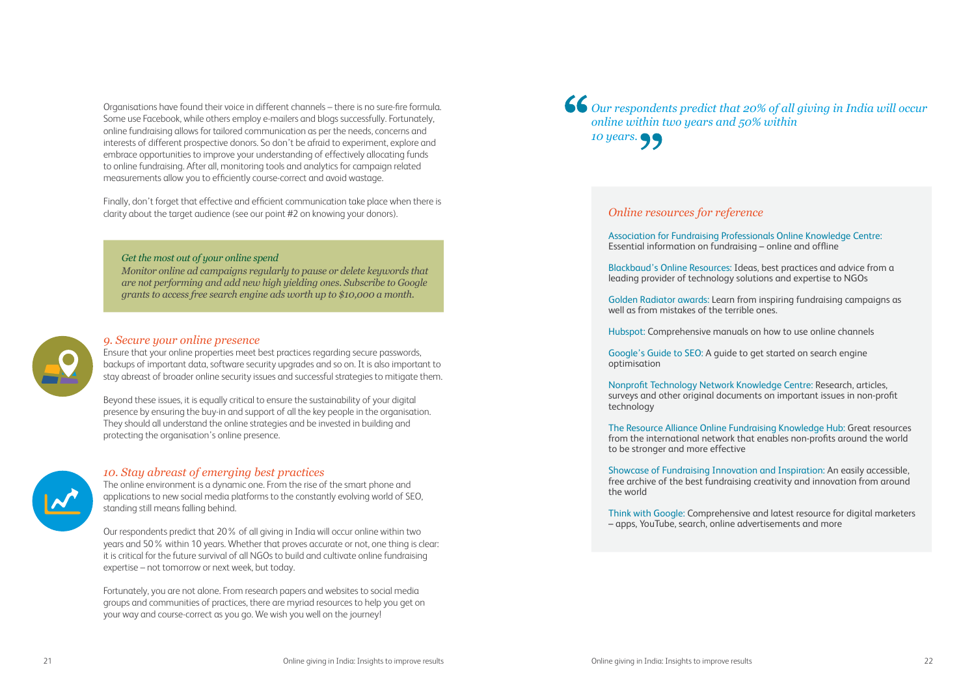### *Online resources for reference*

Essential information on fundraising – online and offline

well as from mistakes of the terrible ones.

optimisation

- Association for Fundraising Professionals Online Knowledge Centre:
- Blackbaud's Online Resources: Ideas, best practices and advice from a leading provider of technology solutions and expertise to NGOs
- Golden Radiator awards: Learn from inspiring fundraising campaigns as
- Hubspot: Comprehensive manuals on how to use online channels
- Google's Guide to SEO: A guide to get started on search engine
- Nonprofit Technology Network Knowledge Centre: Research, articles, surveys and other original documents on important issues in non-profit
- The Resource Alliance Online Fundraising Knowledge Hub: Great resources from the international network that enables non-profits around the world
- Showcase of Fundraising Innovation and Inspiration: An easily accessible, free archive of the best fundraising creativity and innovation from around
- Think with Google: Comprehensive and latest resource for digital marketers

technology

to be stronger and more effective

the world

– apps, YouTube, search, online advertisements and more

Organisations have found their voice in different channels – there is no sure-fire formula. Some use Facebook, while others employ e-mailers and blogs successfully. Fortunately, online fundraising allows for tailored communication as per the needs, concerns and interests of different prospective donors. So don't be afraid to experiment, explore and embrace opportunities to improve your understanding of effectively allocating funds to online fundraising. After all, monitoring tools and analytics for campaign related measurements allow you to efficiently course-correct and avoid wastage.

Finally, don't forget that effective and efficient communication take place when there is clarity about the target audience (see our point #2 on knowing your donors).

### *Get the most out of your online spend*

*Monitor online ad campaigns regularly to pause or delete keywords that are not performing and add new high yielding ones. Subscribe to Google grants to access free search engine ads worth up to \$10,000 a month.*



### *9. Secure your online presence*

Ensure that your online properties meet best practices regarding secure passwords, backups of important data, software security upgrades and so on. It is also important to stay abreast of broader online security issues and successful strategies to mitigate them.

Beyond these issues, it is equally critical to ensure the sustainability of your digital presence by ensuring the buy-in and support of all the key people in the organisation. They should all understand the online strategies and be invested in building and protecting the organisation's online presence.



### *10. Stay abreast of emerging best practices*

The online environment is a dynamic one. From the rise of the smart phone and applications to new social media platforms to the constantly evolving world of SEO, standing still means falling behind.

Our respondents predict that 20% of all giving in India will occur online within two years and 50% within 10 years. Whether that proves accurate or not, one thing is clear: it is critical for the future survival of all NGOs to build and cultivate online fundraising expertise – not tomorrow or next week, but today.

Fortunately, you are not alone. From research papers and websites to social media groups and communities of practices, there are myriad resources to help you get on your way and course-correct as you go. We wish you well on the journey!